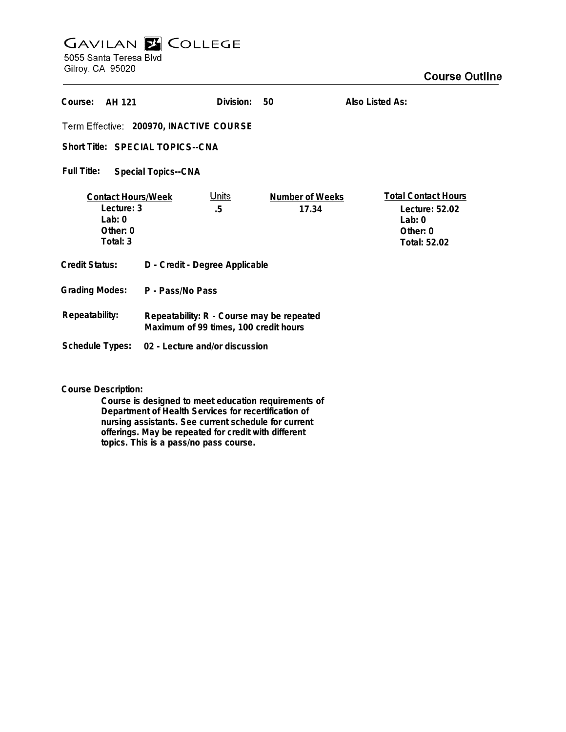## **GAVILAN E COLLEGE**<br>5055 Santa Teresa Blvd

Gilroy, CA 95020

## **Course Outline**

| Course:<br>AH 121                                                              |                                                                                    | Division:          | 50                       | Also Listed As:                                                                   |
|--------------------------------------------------------------------------------|------------------------------------------------------------------------------------|--------------------|--------------------------|-----------------------------------------------------------------------------------|
| Term Effective: 200970, INACTIVE COURSE                                        |                                                                                    |                    |                          |                                                                                   |
| Short Title: SPECIAL TOPICS--CNA                                               |                                                                                    |                    |                          |                                                                                   |
| Full Title:<br><b>Special Topics--CNA</b>                                      |                                                                                    |                    |                          |                                                                                   |
| <b>Contact Hours/Week</b><br>Lecture: 3<br>$1$ ab: 0<br>Other: $0$<br>Total: 3 |                                                                                    | <u>Units</u><br>.5 | Number of Weeks<br>17.34 | <b>Total Contact Hours</b><br>Lecture: 52.02<br>Lab:0<br>Other: 0<br>Total: 52.02 |
| <b>Credit Status:</b>                                                          | D - Credit - Degree Applicable                                                     |                    |                          |                                                                                   |
| <b>Grading Modes:</b>                                                          | P - Pass/No Pass                                                                   |                    |                          |                                                                                   |
| Repeatability:                                                                 | Repeatability: R - Course may be repeated<br>Maximum of 99 times, 100 credit hours |                    |                          |                                                                                   |
| Schedule Types:                                                                | 02 - Lecture and/or discussion                                                     |                    |                          |                                                                                   |

**Course Description:**

**Course is designed to meet education requirements of Department of Health Services for recertification of nursing assistants. See current schedule for current offerings. May be repeated for credit with different topics. This is a pass/no pass course.**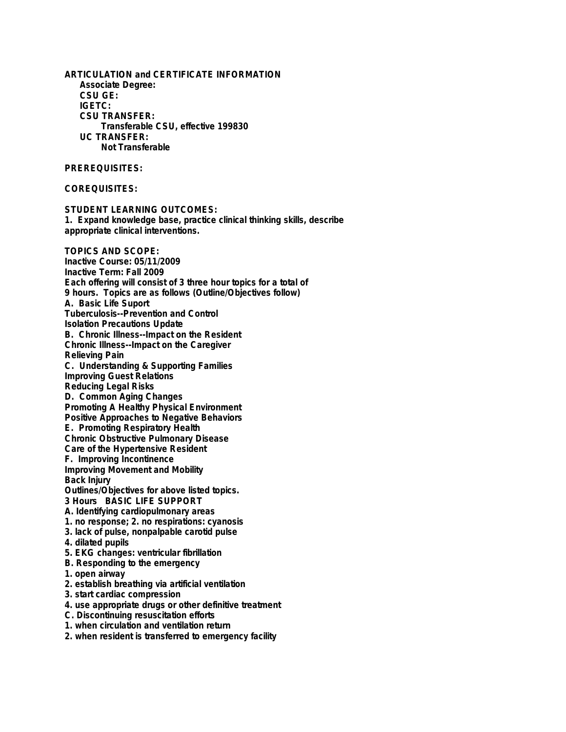**ARTICULATION and CERTIFICATE INFORMATION Associate Degree: CSU GE: IGETC: CSU TRANSFER: Transferable CSU, effective 199830 UC TRANSFER: Not Transferable PREREQUISITES: COREQUISITES: STUDENT LEARNING OUTCOMES: 1. Expand knowledge base, practice clinical thinking skills, describe appropriate clinical interventions. TOPICS AND SCOPE: Inactive Course: 05/11/2009 Inactive Term: Fall 2009 Each offering will consist of 3 three hour topics for a total of 9 hours. Topics are as follows (Outline/Objectives follow) A. Basic Life Suport Tuberculosis--Prevention and Control Isolation Precautions Update B. Chronic Illness--Impact on the Resident Chronic Illness--Impact on the Caregiver Relieving Pain C. Understanding & Supporting Families Improving Guest Relations Reducing Legal Risks D. Common Aging Changes Promoting A Healthy Physical Environment Positive Approaches to Negative Behaviors E. Promoting Respiratory Health Chronic Obstructive Pulmonary Disease Care of the Hypertensive Resident F. Improving Incontinence Improving Movement and Mobility Back Injury Outlines/Objectives for above listed topics. 3 Hours BASIC LIFE SUPPORT A. Identifying cardiopulmonary areas 1. no response; 2. no respirations: cyanosis 3. lack of pulse, nonpalpable carotid pulse 4. dilated pupils 5. EKG changes: ventricular fibrillation B. Responding to the emergency 1. open airway 2. establish breathing via artificial ventilation 3. start cardiac compression 4. use appropriate drugs or other definitive treatment C. Discontinuing resuscitation efforts 1. when circulation and ventilation return 2. when resident is transferred to emergency facility**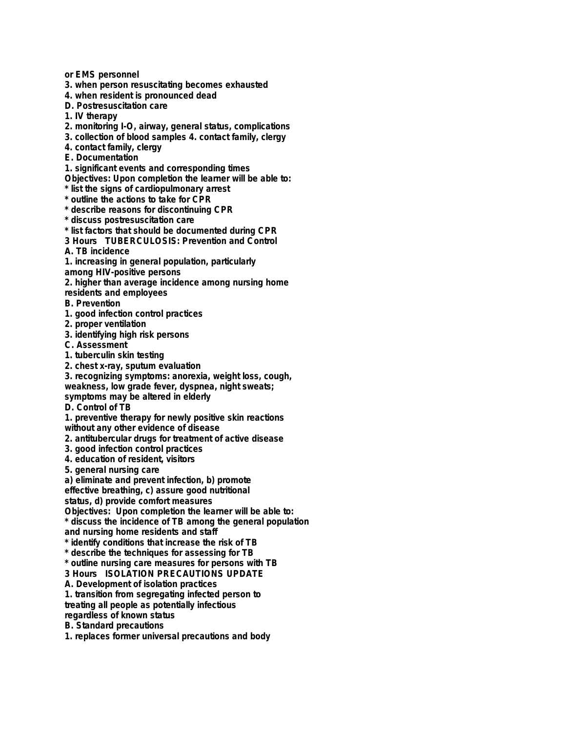**or EMS personnel**

**3. when person resuscitating becomes exhausted**

**4. when resident is pronounced dead**

**D. Postresuscitation care**

**1. IV therapy**

**2. monitoring I-O, airway, general status, complications**

**3. collection of blood samples 4. contact family, clergy**

**4. contact family, clergy**

**E. Documentation**

**1. significant events and corresponding times**

**Objectives: Upon completion the learner will be able to:**

**\* list the signs of cardiopulmonary arrest**

**\* outline the actions to take for CPR**

**\* describe reasons for discontinuing CPR**

**\* discuss postresuscitation care**

**\* list factors that should be documented during CPR**

**3 Hours TUBERCULOSIS: Prevention and Control**

**A. TB incidence**

**1. increasing in general population, particularly**

**among HIV-positive persons**

**2. higher than average incidence among nursing home**

**residents and employees**

**B. Prevention**

**1. good infection control practices**

**2. proper ventilation**

**3. identifying high risk persons**

**C. Assessment**

**1. tuberculin skin testing**

**2. chest x-ray, sputum evaluation**

**3. recognizing symptoms: anorexia, weight loss, cough, weakness, low grade fever, dyspnea, night sweats;**

**symptoms may be altered in elderly**

**D. Control of TB**

**1. preventive therapy for newly positive skin reactions**

**without any other evidence of disease**

**2. antitubercular drugs for treatment of active disease**

**3. good infection control practices**

**4. education of resident, visitors**

**5. general nursing care**

**a) eliminate and prevent infection, b) promote**

**effective breathing, c) assure good nutritional**

**status, d) provide comfort measures**

**Objectives: Upon completion the learner will be able to:**

**\* discuss the incidence of TB among the general population and nursing home residents and staff**

**\* identify conditions that increase the risk of TB**

**\* describe the techniques for assessing for TB**

**\* outline nursing care measures for persons with TB**

**3 Hours ISOLATION PRECAUTIONS UPDATE**

**A. Development of isolation practices**

**1. transition from segregating infected person to**

**treating all people as potentially infectious**

**regardless of known status**

**B. Standard precautions**

**1. replaces former universal precautions and body**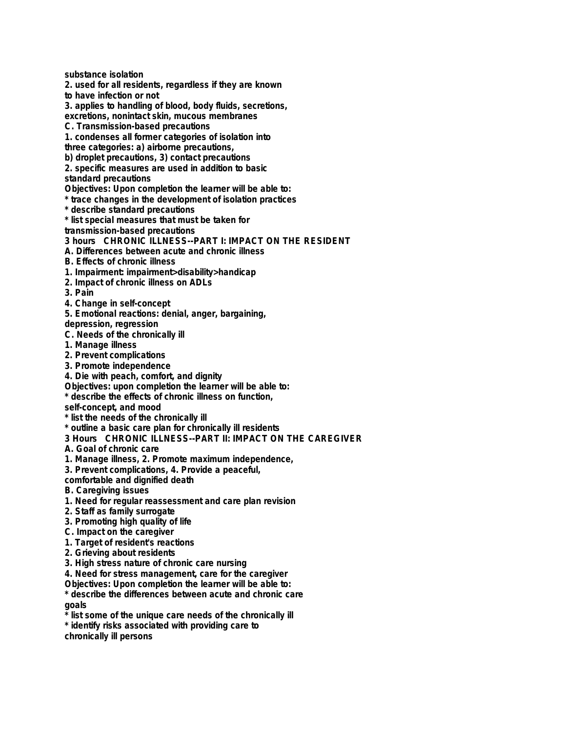**substance isolation**

**2. used for all residents, regardless if they are known**

**to have infection or not**

**3. applies to handling of blood, body fluids, secretions,**

**excretions, nonintact skin, mucous membranes**

**C. Transmission-based precautions**

**1. condenses all former categories of isolation into**

**three categories: a) airborne precautions,**

**b) droplet precautions, 3) contact precautions**

**2. specific measures are used in addition to basic**

**standard precautions**

**Objectives: Upon completion the learner will be able to:**

**\* trace changes in the development of isolation practices**

**\* describe standard precautions**

**\* list special measures that must be taken for**

**transmission-based precautions**

**3 hours CHRONIC ILLNESS--PART I: IMPACT ON THE RESIDENT**

**A. Differences between acute and chronic illness**

**B. Effects of chronic illness**

**1. Impairment: impairment>disability>handicap**

**2. Impact of chronic illness on ADLs**

**3. Pain**

**4. Change in self-concept**

**5. Emotional reactions: denial, anger, bargaining,**

**depression, regression**

**C. Needs of the chronically ill**

**1. Manage illness**

**2. Prevent complications**

**3. Promote independence**

**4. Die with peach, comfort, and dignity**

**Objectives: upon completion the learner will be able to:**

**\* describe the effects of chronic illness on function,**

**self-concept, and mood**

**\* list the needs of the chronically ill**

**\* outline a basic care plan for chronically ill residents**

**3 Hours CHRONIC ILLNESS--PART II: IMPACT ON THE CAREGIVER**

**A. Goal of chronic care**

**1. Manage illness, 2. Promote maximum independence,**

**3. Prevent complications, 4. Provide a peaceful,**

**comfortable and dignified death**

**B. Caregiving issues**

**1. Need for regular reassessment and care plan revision**

**2. Staff as family surrogate**

**3. Promoting high quality of life**

**C. Impact on the caregiver**

**1. Target of resident's reactions**

**2. Grieving about residents**

**3. High stress nature of chronic care nursing**

**4. Need for stress management, care for the caregiver**

**Objectives: Upon completion the learner will be able to:**

**\* describe the differences between acute and chronic care goals**

list some of the unique care needs of the chronically ill

**\* identify risks associated with providing care to**

**chronically ill persons**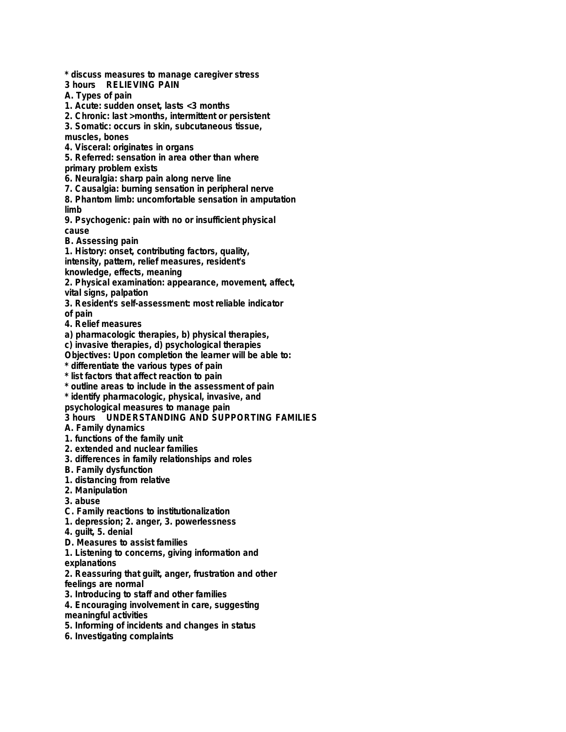**\* discuss measures to manage caregiver stress**

- **3 hours RELIEVING PAIN**
- **A. Types of pain**
- **1. Acute: sudden onset, lasts <3 months**
- **2. Chronic: last >months, intermittent or persistent**
- **3. Somatic: occurs in skin, subcutaneous tissue,**
- **muscles, bones**
- **4. Visceral: originates in organs**
- **5. Referred: sensation in area other than where**
- **primary problem exists**
- **6. Neuralgia: sharp pain along nerve line**
- **7. Causalgia: burning sensation in peripheral nerve**
- **8. Phantom limb: uncomfortable sensation in amputation limb**
- **9. Psychogenic: pain with no or insufficient physical cause**
- **B. Assessing pain**
- **1. History: onset, contributing factors, quality, intensity, pattern, relief measures, resident's**
- **knowledge, effects, meaning**
- **2. Physical examination: appearance, movement, affect, vital signs, palpation**
- **3. Resident's self-assessment: most reliable indicator**
- **of pain**
- **4. Relief measures**
- **a) pharmacologic therapies, b) physical therapies,**
- **c) invasive therapies, d) psychological therapies**
- **Objectives: Upon completion the learner will be able to:**
- **\* differentiate the various types of pain**
- **\* list factors that affect reaction to pain**
- **\* outline areas to include in the assessment of pain**
- **\* identify pharmacologic, physical, invasive, and**
- **psychological measures to manage pain**
- **3 hours UNDERSTANDING AND SUPPORTING FAMILIES**
- **A. Family dynamics**
- **1. functions of the family unit**
- **2. extended and nuclear families**
- **3. differences in family relationships and roles**
- **B. Family dysfunction**
- **1. distancing from relative**
- **2. Manipulation**
- **3. abuse**
- **C. Family reactions to institutionalization**
- **1. depression; 2. anger, 3. powerlessness**
- **4. guilt, 5. denial**
- **D. Measures to assist families**
- **1. Listening to concerns, giving information and**
- **explanations**
- **2. Reassuring that guilt, anger, frustration and other feelings are normal**
- **3. Introducing to staff and other families**
- **4. Encouraging involvement in care, suggesting meaningful activities**
- **5. Informing of incidents and changes in status**
- **6. Investigating complaints**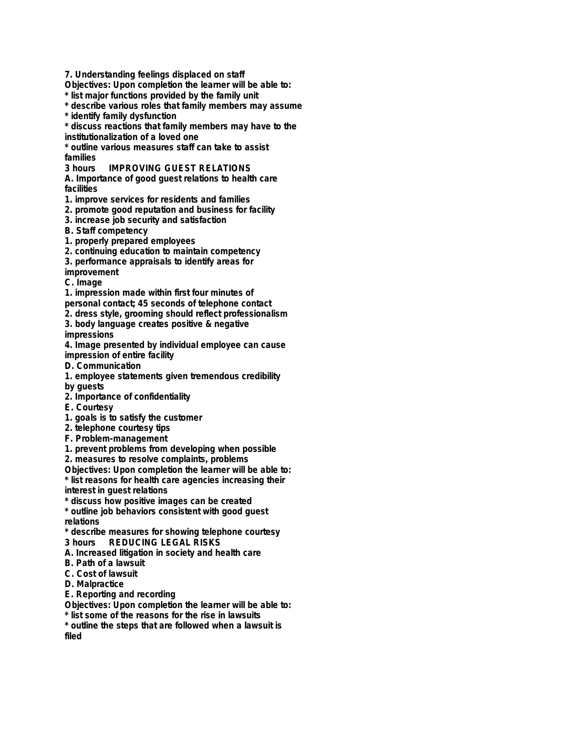**7. Understanding feelings displaced on staff**

**Objectives: Upon completion the learner will be able to:**

**\* list major functions provided by the family unit**

**\* describe various roles that family members may assume**

**\* identify family dysfunction**

**\* discuss reactions that family members may have to the institutionalization of a loved one**

**\* outline various measures staff can take to assist families**

**IMPROVING GUEST RELATIONS** 

**A. Importance of good guest relations to health care facilities**

**1. improve services for residents and families**

**2. promote good reputation and business for facility**

**3. increase job security and satisfaction**

**B. Staff competency**

**1. properly prepared employees**

**2. continuing education to maintain competency**

**3. performance appraisals to identify areas for**

**improvement**

**C. Image**

**1. impression made within first four minutes of**

**personal contact; 45 seconds of telephone contact**

**2. dress style, grooming should reflect professionalism**

**3. body language creates positive & negative impressions**

**4. Image presented by individual employee can cause impression of entire facility**

**D. Communication**

**1. employee statements given tremendous credibility by guests**

**2. Importance of confidentiality**

**E. Courtesy**

**1. goals is to satisfy the customer**

**2. telephone courtesy tips**

**F. Problem-management**

**1. prevent problems from developing when possible**

**2. measures to resolve complaints, problems**

**Objectives: Upon completion the learner will be able to:**

**\* list reasons for health care agencies increasing their**

**interest in guest relations**

**\* discuss how positive images can be created**

**\* outline job behaviors consistent with good guest relations**

**\* describe measures for showing telephone courtesy**

**3 hours REDUCING LEGAL RISKS**

**A. Increased litigation in society and health care**

**B. Path of a lawsuit**

**C. Cost of lawsuit**

**D. Malpractice**

**E. Reporting and recording**

**Objectives: Upon completion the learner will be able to:**

**\* list some of the reasons for the rise in lawsuits**

**\* outline the steps that are followed when a lawsuit is filed**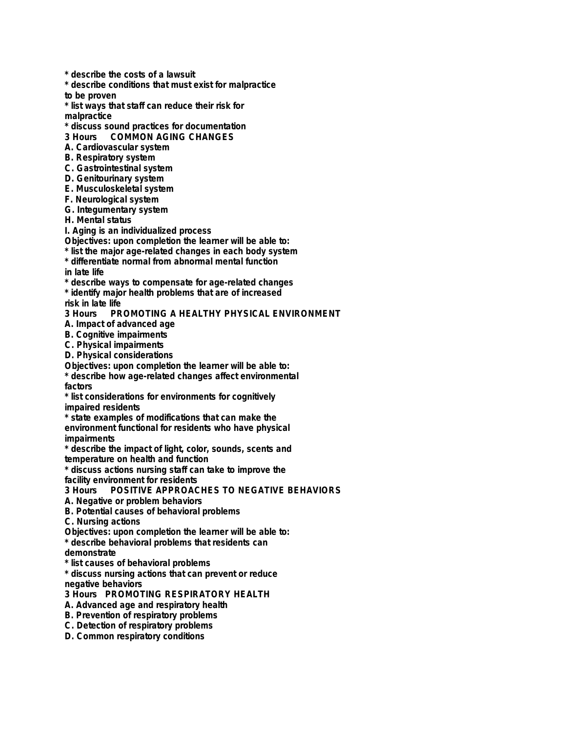**\* describe the costs of a lawsuit**

**\* describe conditions that must exist for malpractice**

**to be proven**

**\* list ways that staff can reduce their risk for malpractice**

**\* discuss sound practices for documentation**

**COMMON AGING CHANGES** 

**A. Cardiovascular system**

**B. Respiratory system**

**C. Gastrointestinal system**

**D. Genitourinary system**

**E. Musculoskeletal system**

**F. Neurological system**

**G. Integumentary system**

**H. Mental status**

**I. Aging is an individualized process**

**Objectives: upon completion the learner will be able to:**

**\* list the major age-related changes in each body system**

**\* differentiate normal from abnormal mental function in late life**

**\* describe ways to compensate for age-related changes**

**\* identify major health problems that are of increased**

**risk in late life PROMOTING A HEALTHY PHYSICAL ENVIRONMENT** 

**A. Impact of advanced age**

**B. Cognitive impairments**

**C. Physical impairments**

**D. Physical considerations**

**Objectives: upon completion the learner will be able to:**

**\* describe how age-related changes affect environmental factors**

**\* list considerations for environments for cognitively impaired residents**

**\* state examples of modifications that can make the environment functional for residents who have physical impairments**

**\* describe the impact of light, color, sounds, scents and temperature on health and function**

**\* discuss actions nursing staff can take to improve the facility environment for residents**

**3 Hours POSITIVE APPROACHES TO NEGATIVE BEHAVIORS**

**A. Negative or problem behaviors**

**B. Potential causes of behavioral problems**

**C. Nursing actions**

**Objectives: upon completion the learner will be able to:**

**\* describe behavioral problems that residents can**

**demonstrate**

**\* list causes of behavioral problems**

**\* discuss nursing actions that can prevent or reduce negative behaviors**

**3 Hours PROMOTING RESPIRATORY HEALTH**

**A. Advanced age and respiratory health**

**B. Prevention of respiratory problems**

**C. Detection of respiratory problems**

**D. Common respiratory conditions**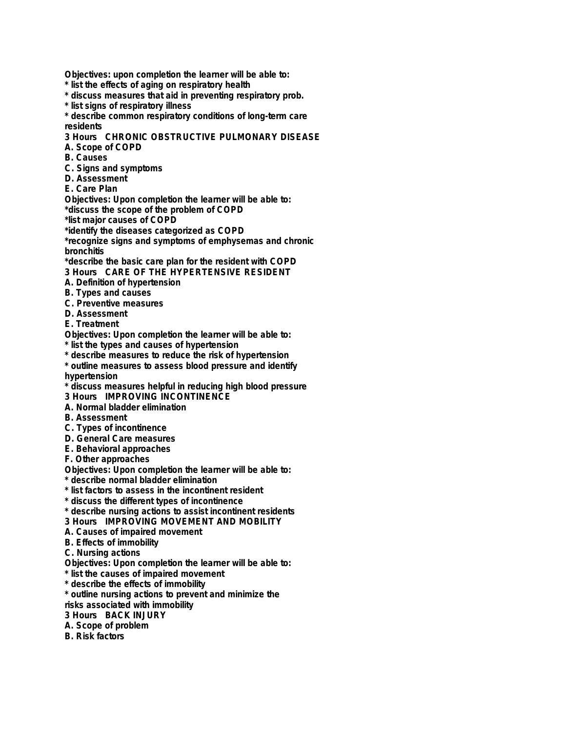**Objectives: upon completion the learner will be able to:**

- **\* list the effects of aging on respiratory health**
- **\* discuss measures that aid in preventing respiratory prob.**
- **\* list signs of respiratory illness**

**\* describe common respiratory conditions of long-term care residents**

**3 Hours CHRONIC OBSTRUCTIVE PULMONARY DISEASE**

- **A. Scope of COPD**
- **B. Causes**
- **C. Signs and symptoms**
- **D. Assessment**
- **E. Care Plan**

**Objectives: Upon completion the learner will be able to: \*discuss the scope of the problem of COPD**

**\*list major causes of COPD**

**\*identify the diseases categorized as COPD**

**\*recognize signs and symptoms of emphysemas and chronic bronchitis**

**\*describe the basic care plan for the resident with COPD**

- **3 Hours CARE OF THE HYPERTENSIVE RESIDENT**
- **A. Definition of hypertension**
- **B. Types and causes**
- **C. Preventive measures**
- **D. Assessment**
- **E. Treatment**

**Objectives: Upon completion the learner will be able to:**

**\* list the types and causes of hypertension**

**\* describe measures to reduce the risk of hypertension**

**\* outline measures to assess blood pressure and identify hypertension**

- **\* discuss measures helpful in reducing high blood pressure**
- **3 Hours IMPROVING INCONTINENCE**
- **A. Normal bladder elimination**
- **B. Assessment**
- **C. Types of incontinence**
- **D. General Care measures**
- **E. Behavioral approaches**
- **F. Other approaches**

**Objectives: Upon completion the learner will be able to:**

- **\* describe normal bladder elimination**
- **\* list factors to assess in the incontinent resident**
- **\* discuss the different types of incontinence**
- **\* describe nursing actions to assist incontinent residents**
- **3 Hours IMPROVING MOVEMENT AND MOBILITY**
- **A. Causes of impaired movement**
- **B. Effects of immobility**
- **C. Nursing actions**
- **Objectives: Upon completion the learner will be able to:**
- **\* list the causes of impaired movement**
- **\* describe the effects of immobility**

**\* outline nursing actions to prevent and minimize the**

- **risks associated with immobility**
- **3 Hours BACK INJURY**
- **A. Scope of problem**
- **B. Risk factors**